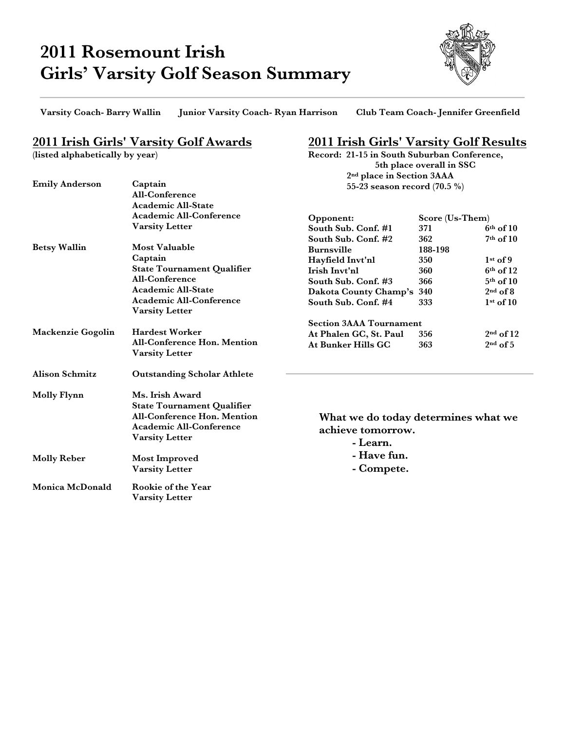## **2011 Rosemount Irish Girls' Varsity Golf Season Summary**



**Varsity Coach- Barry Wallin Junior Varsity Coach- Ryan Harrison Club Team Coach- Jennifer Greenfield**

## **2011 Irish Girls' Varsity Golf Awards**

**All-Conference**

**(listed alphabetically by year)**

**Emily Anderson Captain**

## **2011 Irish Girls' Varsity Golf Results**

**Record: 21-15 in South Suburban Conference, 5th place overall in SSC 2nd place in Section 3AAA 55-23 season record (70.5 %)**

|                       | <b>Academic All-State</b><br><b>Academic All-Conference</b><br><b>Varsity Letter</b>                                                           | Opponent:<br>South Sub. Conf. #1<br>South Sub. Conf. #2 | Score (Us-Them)<br>371<br>362       | $6th$ of 10<br>$7th$ of 10 |
|-----------------------|------------------------------------------------------------------------------------------------------------------------------------------------|---------------------------------------------------------|-------------------------------------|----------------------------|
| <b>Betsy Wallin</b>   | Most Valuable<br>Captain                                                                                                                       | <b>Burnsville</b><br>Hayfield Invt'nl                   | 188-198<br>350                      | $1st$ of 9                 |
|                       | <b>State Tournament Qualifier</b>                                                                                                              | Irish Invt'nl                                           | 360                                 | $6th$ of 12                |
|                       | All-Conference                                                                                                                                 | South Sub. Conf. #3                                     | 366                                 | $5th$ of 10                |
|                       | <b>Academic All-State</b>                                                                                                                      | Dakota County Champ's                                   | 340                                 | $2nd$ of 8                 |
|                       | <b>Academic All-Conference</b><br><b>Varsity Letter</b>                                                                                        | South Sub. Conf. #4                                     | 333                                 | $1st$ of 10                |
|                       |                                                                                                                                                | <b>Section 3AAA Tournament</b>                          |                                     |                            |
| Mackenzie Gogolin     | <b>Hardest Worker</b>                                                                                                                          | At Phalen GC, St. Paul                                  | 356                                 | $2nd$ of 12                |
|                       | <b>All-Conference Hon. Mention</b><br><b>Varsity Letter</b>                                                                                    | At Bunker Hills GC                                      | 363                                 | $2nd$ of 5                 |
| <b>Alison Schmitz</b> | <b>Outstanding Scholar Athlete</b>                                                                                                             |                                                         |                                     |                            |
| <b>Molly Flynn</b>    | Ms. Irish Award<br><b>State Tournament Qualifier</b><br><b>All-Conference Hon. Mention</b><br>Academic All-Conference<br><b>Varsity Letter</b> | achieve tomorrow.<br>- Learn.                           | What we do today determines what we |                            |
| <b>Molly Reber</b>    | <b>Most Improved</b><br><b>Varsity Letter</b>                                                                                                  | - Have fun.<br>- Compete.                               |                                     |                            |
| Monica McDonald       | Rookie of the Year<br><b>Varsity Letter</b>                                                                                                    |                                                         |                                     |                            |